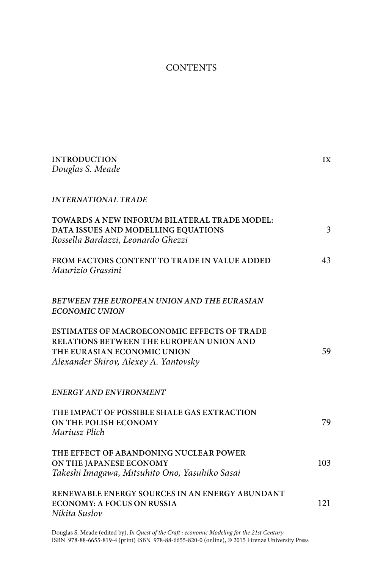## **CONTENTS**

| <b>INTRODUCTION</b><br>Douglas S. Meade                                                                                                                                       | IX  |
|-------------------------------------------------------------------------------------------------------------------------------------------------------------------------------|-----|
| <b>INTERNATIONAL TRADE</b>                                                                                                                                                    |     |
| TOWARDS A NEW INFORUM BILATERAL TRADE MODEL:<br>DATA ISSUES AND MODELLING EQUATIONS<br>Rossella Bardazzi, Leonardo Ghezzi                                                     | 3   |
| FROM FACTORS CONTENT TO TRADE IN VALUE ADDED<br>Maurizio Grassini                                                                                                             | 43  |
| BETWEEN THE EUROPEAN UNION AND THE EURASIAN<br><b>ECONOMIC UNION</b>                                                                                                          |     |
| <b>ESTIMATES OF MACROECONOMIC EFFECTS OF TRADE</b><br><b>RELATIONS BETWEEN THE EUROPEAN UNION AND</b><br>THE EURASIAN ECONOMIC UNION<br>Alexander Shirov, Alexey A. Yantovsky | 59  |
| <b>ENERGY AND ENVIRONMENT</b>                                                                                                                                                 |     |
| THE IMPACT OF POSSIBLE SHALE GAS EXTRACTION<br>ON THE POLISH ECONOMY<br>Mariusz Plich                                                                                         | 79  |
| THE EFFECT OF ABANDONING NUCLEAR POWER<br>ON THE JAPANESE ECONOMY<br>Takeshi Imagawa, Mitsuhito Ono, Yasuhiko Sasai                                                           | 103 |
| RENEWABLE ENERGY SOURCES IN AN ENERGY ABUNDANT<br><b>ECONOMY: A FOCUS ON RUSSIA</b><br>Nikita Suslov                                                                          | 121 |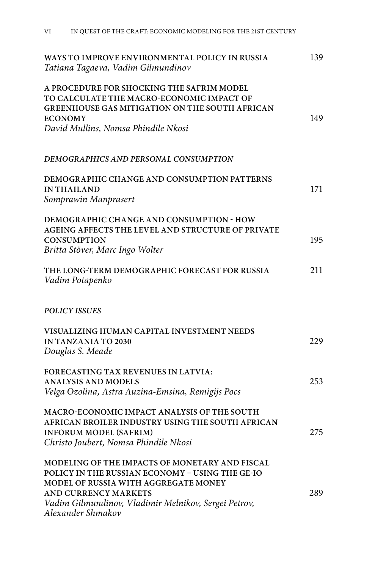| <b>WAYS TO IMPROVE ENVIRONMENTAL POLICY IN RUSSIA</b><br>Tatiana Tagaeva, Vadim Gilmundinov                                                                                                                                                           | 139 |
|-------------------------------------------------------------------------------------------------------------------------------------------------------------------------------------------------------------------------------------------------------|-----|
| A PROCEDURE FOR SHOCKING THE SAFRIM MODEL<br>TO CALCULATE THE MACRO-ECONOMIC IMPACT OF<br><b>GREENHOUSE GAS MITIGATION ON THE SOUTH AFRICAN</b><br><b>ECONOMY</b><br>David Mullins, Nomsa Phindile Nkosi                                              | 149 |
| DEMOGRAPHICS AND PERSONAL CONSUMPTION                                                                                                                                                                                                                 |     |
| DEMOGRAPHIC CHANGE AND CONSUMPTION PATTERNS<br><b>IN THAILAND</b><br>Somprawin Manprasert                                                                                                                                                             | 171 |
| DEMOGRAPHIC CHANGE AND CONSUMPTION - HOW<br>AGEING AFFECTS THE LEVEL AND STRUCTURE OF PRIVATE<br><b>CONSUMPTION</b><br>Britta Stöver, Marc Ingo Wolter                                                                                                | 195 |
| THE LONG-TERM DEMOGRAPHIC FORECAST FOR RUSSIA<br>Vadim Potapenko                                                                                                                                                                                      | 211 |
| <b>POLICY ISSUES</b>                                                                                                                                                                                                                                  |     |
| VISUALIZING HUMAN CAPITAL INVESTMENT NEEDS<br><b>IN TANZANIA TO 2030</b><br>Douglas S. Meade                                                                                                                                                          | 229 |
| FORECASTING TAX REVENUES IN LATVIA:<br><b>ANALYSIS AND MODELS</b><br>Velga Ozolina, Astra Auzina-Emsina, Remigijs Pocs                                                                                                                                | 253 |
| MACRO-ECONOMIC IMPACT ANALYSIS OF THE SOUTH<br>AFRICAN BROILER INDUSTRY USING THE SOUTH AFRICAN<br><b>INFORUM MODEL (SAFRIM)</b><br>Christo Joubert, Nomsa Phindile Nkosi                                                                             | 275 |
| MODELING OF THE IMPACTS OF MONETARY AND FISCAL<br>POLICY IN THE RUSSIAN ECONOMY - USING THE GE-IO<br>MODEL OF RUSSIA WITH AGGREGATE MONEY<br><b>AND CURRENCY MARKETS</b><br>Vadim Gilmundinov, Vladimir Melnikov, Sergei Petrov,<br>Alexander Shmakov | 289 |

VI IN QUEST OF THE CRAFT: ECONOMIC MODELING FOR THE 21ST CENTURY